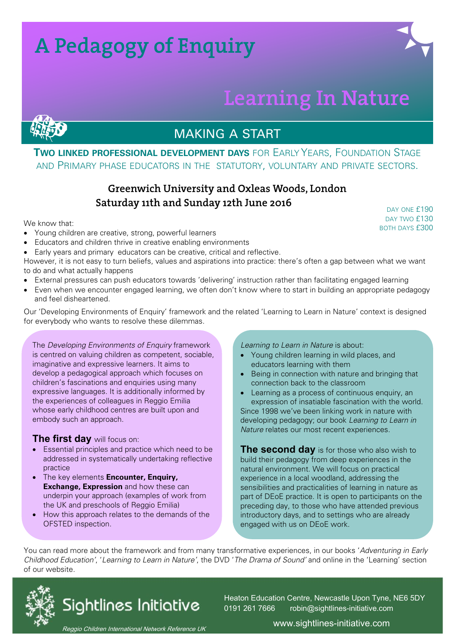## **A Pedagogy of Enquiry**

## **Learning In Nature**



#### **TWO LINKED PROFESSIONAL DEVELOPMENT DAYS** FOR EARLY YEARS, FOUNDATION STAGE AND PRIMARY PHASE EDUCATORS IN THE STATUTORY, VOLUNTARY AND PRIVATE SECTORS.

#### **Greenwich University and Oxleas Woods, London Saturday 11th and Sunday 12th June 2016**

We know that:

- Young children are creative, strong, powerful learners
- Educators and children thrive in creative enabling environments
- Early years and primary educators can be creative, critical and reflective.

However, it is not easy to turn beliefs, values and aspirations into practice: there's often a gap between what we want to do and what actually happens

- External pressures can push educators towards 'delivering' instruction rather than facilitating engaged learning
- Even when we encounter engaged learning, we often don't know where to start in building an appropriate pedagogy and feel disheartened.

Our 'Developing Environments of Enquiry' framework and the related 'Learning to Learn in Nature' context is designed for everybody who wants to resolve these dilemmas.

The Developing Environments of Enquiry framework is centred on valuing children as competent, sociable, imaginative and expressive learners. It aims to develop a pedagogical approach which focuses on children's fascinations and enquiries using many expressive languages. It is additionally informed by the experiences of colleagues in Reggio Emilia whose early childhood centres are built upon and embody such an approach.

#### **The first day** will focus on:

- Essential principles and practice which need to be addressed in systematically undertaking reflective practice
- The key elements **Encounter, Enquiry, Exchange, Expression** and how these can underpin your approach (examples of work from the UK and preschools of Reggio Emilia)
- How this approach relates to the demands of the OFSTED inspection.

#### Learning to Learn in Nature is about:

- Young children learning in wild places, and educators learning with them
- Being in connection with nature and bringing that connection back to the classroom

• Learning as a process of continuous enquiry, an expression of insatiable fascination with the world. Since 1998 we've been linking work in nature with developing pedagogy; our book Learning to Learn in Nature relates our most recent experiences.

**The second day** is for those who also wish to build their pedagogy from deep experiences in the natural environment. We will focus on practical experience in a local woodland, addressing the sensibilities and practicalities of learning in nature as part of DEoE practice. It is open to participants on the preceding day, to those who have attended previous introductory days, and to settings who are already engaged with us on DEoE work.

You can read more about the framework and from many transformative experiences, in our books 'Adventuring in Early Childhood Education', 'Learning to Learn in Nature', the DVD 'The Drama of Sound' and online in the 'Learning' section of our website.



Heaton Education Centre, Newcastle Upon Tyne, NE6 5DY 0191 261 7666 robin@sightlines-initiative.com

Reggio Children International Network Reference UK

www.sightlines-initiative.com

DAY ONE **£190** DAY TWO £130 BOTH DAYS £300